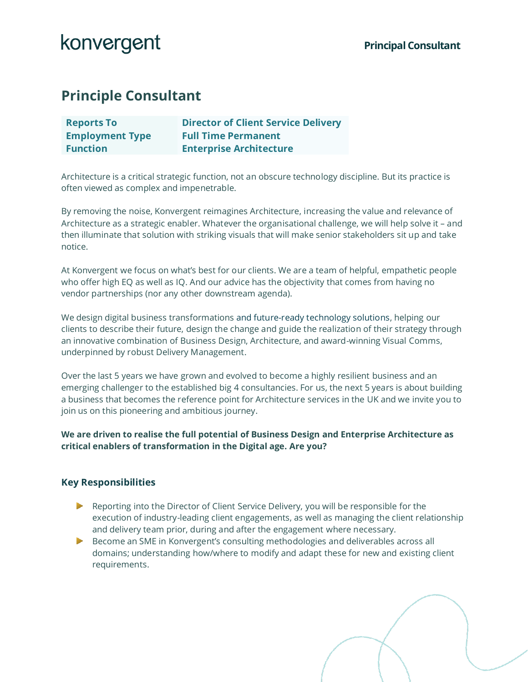## **Principle Consultant**

| <b>Reports To</b>      | <b>Director of Client Service Delivery</b> |
|------------------------|--------------------------------------------|
| <b>Employment Type</b> | <b>Full Time Permanent</b>                 |
| <b>Function</b>        | <b>Enterprise Architecture</b>             |

Architecture is a critical strategic function, not an obscure technology discipline. But its practice is often viewed as complex and impenetrable.

By removing the noise, Konvergent reimagines Architecture, increasing the value and relevance of Architecture as a strategic enabler. Whatever the organisational challenge, we will help solve it – and then illuminate that solution with striking visuals that will make senior stakeholders sit up and take notice.

At Konvergent we focus on what's best for our clients. We are a team of helpful, empathetic people who offer high EQ as well as IQ. And our advice has the objectivity that comes from having no vendor partnerships (nor any other downstream agenda).

We design digital business transformations and future-ready technology solutions, helping our clients to describe their future, design the change and guide the realization of their strategy through an innovative combination of Business Design, Architecture, and award-winning Visual Comms, underpinned by robust Delivery Management.

Over the last 5 years we have grown and evolved to become a highly resilient business and an emerging challenger to the established big 4 consultancies. For us, the next 5 years is about building a business that becomes the reference point for Architecture services in the UK and we invite you to join us on this pioneering and ambitious journey.

**We are driven to realise the full potential of Business Design and Enterprise Architecture as critical enablers of transformation in the Digital age. Are you?**

#### **Key Responsibilities**

- Reporting into the Director of Client Service Delivery, you will be responsible for the execution of industry-leading client engagements, as well as managing the client relationship and delivery team prior, during and after the engagement where necessary.
- Become an SME in Konvergent's consulting methodologies and deliverables across all domains; understanding how/where to modify and adapt these for new and existing client requirements.